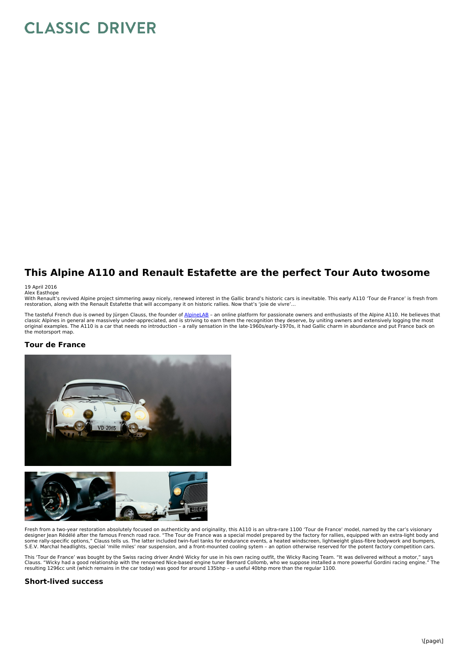# **CLASSIC DRIVER**

## **This Alpine A110 and Renault Estafette are the perfect Tour Auto twosome**

#### 19 April 2016

Alex Easthope<br>With Renault's revived Alpine project simmering away nicely, renewed interest in the Gallic brand's historic cars is inevitable. This early A110 'Tour de France' is fresh from<br>restoration, along with the Rena

The tasteful French duo is owned by Jürgen Clauss, the founder of [AlpineLAB](http://www.alpinelab.de) - an online platform for passionate owners and enthusiasts of the Alpine A110. He believes that classic Alpines in general are massively under-appreciated, and is striving to earn them the recognition they deserve, by uniting owners and extensively logging the most<br>original examples. The A110 is a car that needs no i the motorsport map.

#### **Tour de France**





Fresh from a two-year restoration absolutely focused on authenticity and originality, this A110 is an ultra-rare 1100 'Tour de France' model, named by the car's visionary<br>designer Jean Rédélé after the famous French road r

This 'Tour de France' was bought by the Swiss racing driver André Wicky for use in his own racing outfit, the Wicky Racing Team. "It was delivered without a motor," says<br>Clauss. "Wicky had a good relationship with the reno Clauss. "Wicky had a good relationship with the renowned Nice-based engine tuner Bernard Collomb, who we suppose installed a more powerful Gordini racing engine." The<br>resulting 1296cc unit (which remains in the car today)

#### **Short-lived success**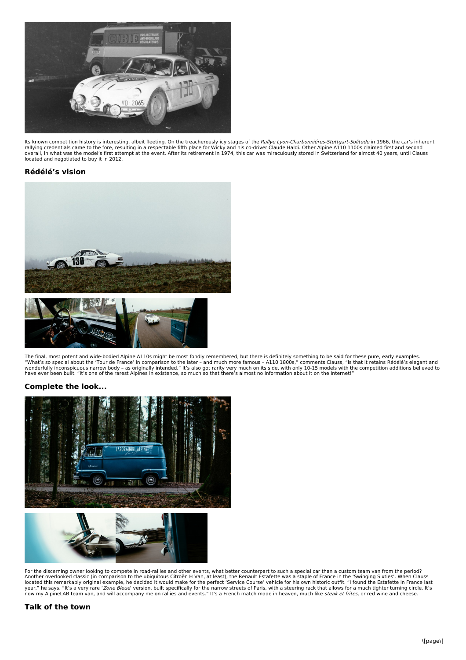

lts known competition history is interesting, albeit fleeting. On the treacherously icy stages of the *Rallye Lyon-Charbonniéres-Stuttgart-Solitude* in 1966, the car's inherent<br>rallying credentials came to the fore, result overall, in what was the model's first attempt at the event. After its retirement in 1974, this car was miraculously stored in Switzerland for almost 40 years, until Clauss located and negotiated to buy it in 2012.

#### **Rédélé's vision**



The final, most potent and wide-bodied Alpine A110s might be most fondly remembered, but there is definitely something to be said for these pure, early examples.<br>"What's so special about the 'Tour de France' in comparison have ever been built. "It's one of the rarest Alpines in existence, so much so that there's almost no information about it on the Internet!"

### **Complete the look...**



For the discerning owner looking to compete in road-rallies and other events, what better counterpart to such a special car than a custom team van from the period?<br>Another overlooked classic (in comparison to the ubiquitou

#### **Talk of the town**